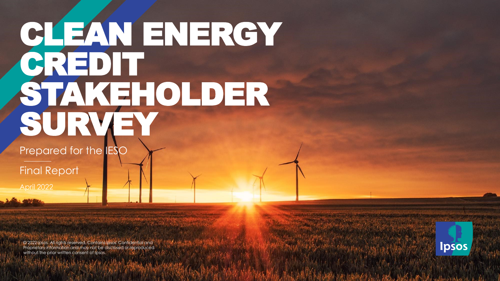# CLEAN ENERGY CREDIT STAKEHOLDER SURVEY.

Prepared for the **IESC** 

Final Report

April 2022

© 2021 Ipsos. All rights reserved. Contains Ipsos' Confidential and © 2022 Ipsos. All rights reserved. Contains Ipsos' Confidential and Proprietary information and may not be disclosed or reproduced Proprietary information and may not be disclosed or reproduced without the prior written consent of Ipsos.

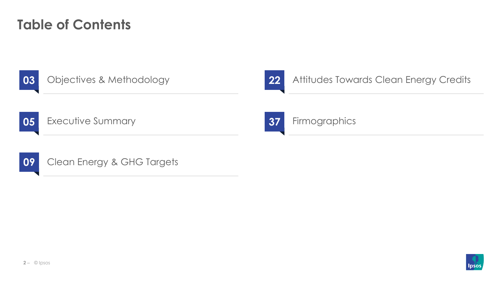### **Table of Contents**

03

### Objectives & Methodology

22

### Attitudes Towards Clean Energy Credits

05 **Executive Summary** 

![](_page_1_Picture_6.jpeg)

Clean Energy & GHG Targets

![](_page_1_Picture_8.jpeg)

### Firmographics

![](_page_1_Picture_10.jpeg)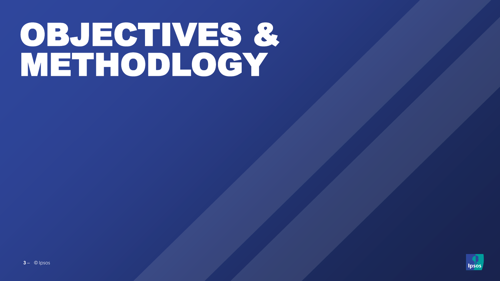# OBJECTIVES &<br>METHODLOGY

![](_page_2_Picture_1.jpeg)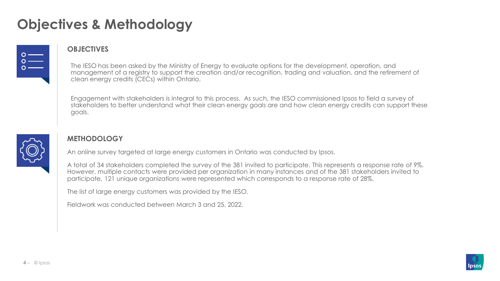### **Objectives & Methodology**

![](_page_3_Picture_1.jpeg)

#### **OBJECTIVES**

The IESO has been asked by the Ministry of Energy to evaluate options for the development, operation, and management of a registry to support the creation and/or recognition, trading and valuation, and the retirement of clean energy credits (CECs) within Ontario.

Engagement with stakeholders is integral to this process. As such, the IESO commissioned Ipsos to field a survey of stakeholders to better understand what their clean energy goals are and how clean energy credits can support these goals.

![](_page_3_Picture_5.jpeg)

### **METHODOLOGY**

An online survey targeted at large energy customers in Ontario was conducted by Ipsos.

A total of 34 stakeholders completed the survey of the 381 invited to participate. This represents a response rate of 9%. However, multiple contacts were provided per organization in many instances and of the 381 stakeholders invited to participate, 121 unique organizations were represented which corresponds to a response rate of 28%.

The list of large energy customers was provided by the IESO.

Fieldwork was conducted between March 3 and 25, 2022.

![](_page_3_Picture_11.jpeg)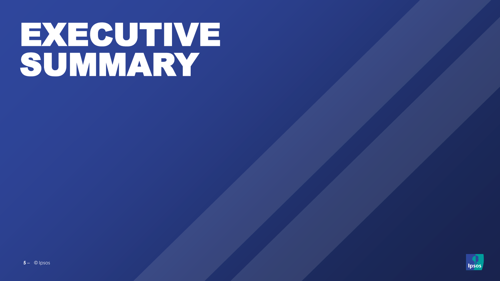# **EXECUTIVE<br>SUMMARY**

![](_page_4_Picture_1.jpeg)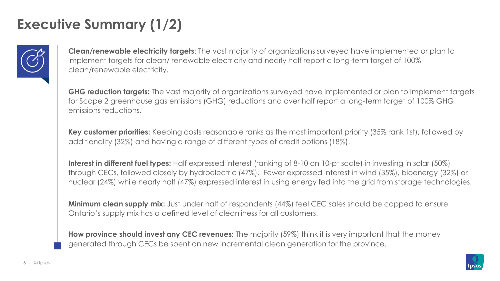## **Executive Summary (1/2)**

![](_page_5_Picture_1.jpeg)

**Clean/renewable electricity targets**: The vast majority of organizations surveyed have implemented or plan to implement targets for clean/ renewable electricity and nearly half report a long-term target of 100% clean/renewable electricity.

**GHG reduction targets:** The vast majority of organizations surveyed have implemented or plan to implement targets for Scope 2 greenhouse gas emissions (GHG) reductions and over half report a long-term target of 100% GHG emissions reductions.

**Key customer priorities:** Keeping costs reasonable ranks as the most important priority (35% rank 1st), followed by additionality (32%) and having a range of different types of credit options (18%).

**Interest in different fuel types:** Half expressed interest (ranking of 8-10 on 10-pt scale) in investing in solar (50%) through CECs, followed closely by hydroelectric (47%). Fewer expressed interest in wind (35%), bioenergy (32%) or nuclear (24%) while nearly half (47%) expressed interest in using energy fed into the grid from storage technologies.

**Minimum clean supply mix:** Just under half of respondents (44%) feel CEC sales should be capped to ensure Ontario's supply mix has a defined level of cleanliness for all customers.

**How province should invest any CEC revenues:** The majority (59%) think it is very important that the money generated through CECs be spent on new incremental clean generation for the province.

![](_page_5_Picture_8.jpeg)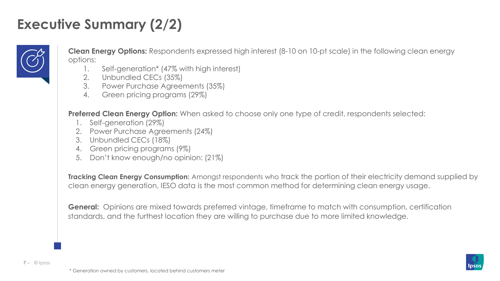### **Executive Summary (2/2)**

![](_page_6_Picture_1.jpeg)

**Clean Energy Options:** Respondents expressed high interest (8-10 on 10-pt scale) in the following clean energy options:

- 1. Self-generation\* (47% with high interest)
- 2. Unbundled CECs (35%)
- 3. Power Purchase Agreements (35%)
- 4. Green pricing programs (29%)

**Preferred Clean Energy Option:** When asked to choose only one type of credit, respondents selected:

- 1. Self-generation (29%)
- 2. Power Purchase Agreements (24%)
- 3. Unbundled CECs (18%)
- 4. Green pricing programs (9%)
- 5. Don't know enough/no opinion: (21%)

**Tracking Clean Energy Consumption:** Amongst respondents who track the portion of their electricity demand supplied by clean energy generation, IESO data is the most common method for determining clean energy usage.

**General:** Opinions are mixed towards preferred vintage, timeframe to match with consumption, certification standards, and the furthest location they are willing to purchase due to more limited knowledge.

![](_page_6_Picture_15.jpeg)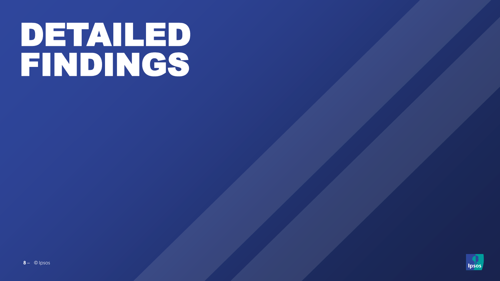# PETAILED

![](_page_7_Picture_1.jpeg)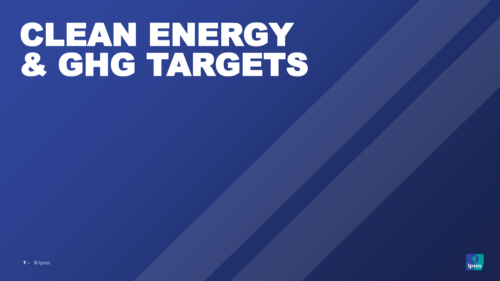# CLEAN ENERGY<br>& GHG TARGETS

![](_page_8_Picture_1.jpeg)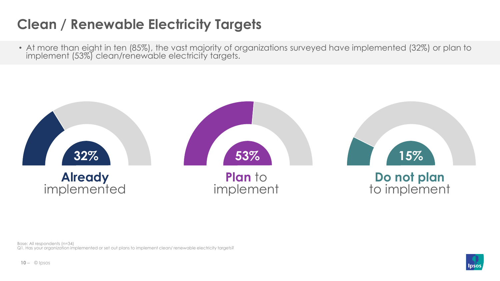# **Clean / Renewable Electricity Targets**

• At more than eight in ten (85%), the vast majority of organizations surveyed have implemented (32%) or plan to implement (53%) clean/renewable electricity targets.

![](_page_9_Figure_2.jpeg)

Base: All respondents (n=34) Q1. Has your organization implemented or set out plans to implement clean/ renewable electricity targets?

![](_page_9_Picture_4.jpeg)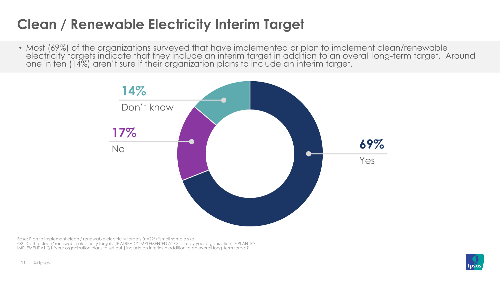# **Clean / Renewable Electricity Interim Target**

• Most (69%) of the organizations surveyed that have implemented or plan to implement clean/renewable electricity targets indicate that they include an interim target in addition to an overall long-term target. Around one in ten (14%) aren't sure if their organization plans to include an interim target.

![](_page_10_Figure_2.jpeg)

Base: Plan to implement clean / renewable electricity targets (n=29\*) \*small sample size Q2. Do the clean/ renewable electricity targets [IF ALREADY IMPLEMENTED AT Q1 'set by your organization' IF PLAN TO IMPLEMENT AT Q1 'your organization plans to set out'] include an interim in addition to an overall long-term target?

![](_page_10_Picture_4.jpeg)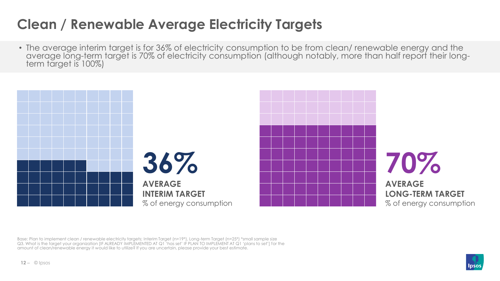### **Clean / Renewable Average Electricity Targets**

• The average interim target is for 36% of electricity consumption to be from clean/ renewable energy and the average long-term target is 70% of electricity consumption (although notably, more than half report their longterm target is 100%)

![](_page_11_Picture_2.jpeg)

Base: Plan to implement clean / renewable electricity targets; Interim Target (n=19\*), Long-term Target (n=25\*) \*small sample size Q3. What is the target your organization [IF ALREADY IMPLEMENTED AT Q1 'has set' IF PLAN TO IMPLEMENT AT Q1 'plans to set'] for the amount of clean/renewable energy it would like to utilize? If you are uncertain, please provide your best estimate.

![](_page_11_Picture_4.jpeg)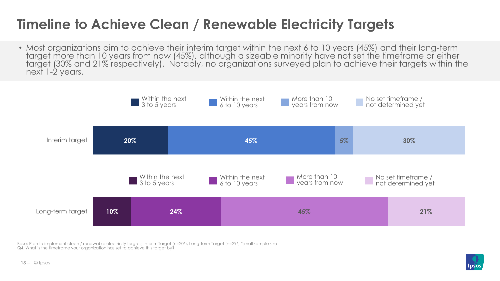### **Timeline to Achieve Clean / Renewable Electricity Targets**

• Most organizations aim to achieve their interim target within the next 6 to 10 years (45%) and their long-term target more than 10 years from now (45%), although a sizeable minority have not set the timeframe or either target (30% and 21% respectively). Notably, no organizations surveyed plan to achieve their targets within the next 1-2 years.

![](_page_12_Figure_2.jpeg)

Base: Plan to implement clean / renewable electricity targets; Interim Target (n=20\*), Long-term Target (n=29\*) \*small sample size Q4. What is the timeframe your organization has set to achieve this target by?

![](_page_12_Picture_4.jpeg)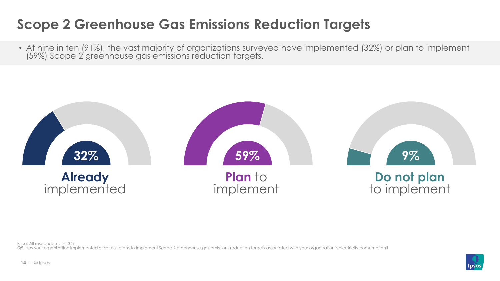### **Scope 2 Greenhouse Gas Emissions Reduction Targets**

• At nine in ten (91%), the vast majority of organizations surveyed have implemented (32%) or plan to implement (59%) Scope 2 greenhouse gas emissions reduction targets.

![](_page_13_Figure_2.jpeg)

Base: All respondents (n=34)

Q5. Has your organization implemented or set out plans to implement Scope 2 greenhouse gas emissions reduction targets associated with your organization's electricity consumption?

![](_page_13_Picture_5.jpeg)

![](_page_13_Picture_6.jpeg)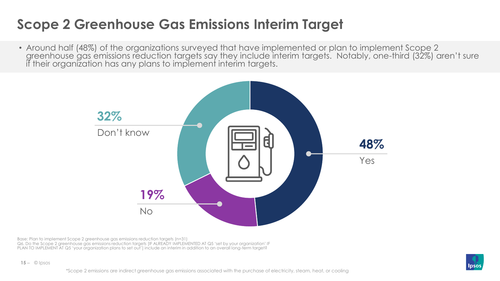### **Scope 2 Greenhouse Gas Emissions Interim Target**

• Around half (48%) of the organizations surveyed that have implemented or plan to implement Scope 2 greenhouse gas emissions reduction targets say they include interim targets. Notably, one-third (32%) aren't sure if their organization has any plans to implement interim targets.

![](_page_14_Figure_2.jpeg)

Base: Plan to implement Scope 2 greenhouse gas emissions reduction targets (n=31) Q6. Do the Scope 2 greenhouse gas emissions reduction targets [IF ALREADY IMPLEMENTED AT Q5 'set by your organization' IF PLAN TO IMPLEMENT AT Q5 'your organization plans to set out'] include an interim in addition to an overall long-term target?

![](_page_14_Picture_4.jpeg)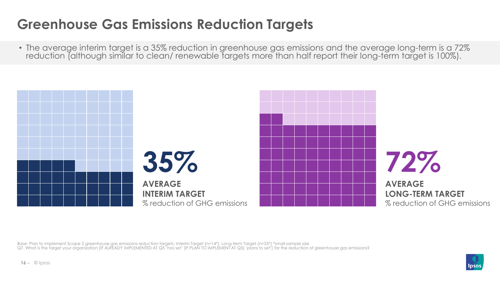# **Greenhouse Gas Emissions Reduction Targets**

• The average interim target is a 35% reduction in greenhouse gas emissions and the average long-term is a 72% reduction (although similar to clean/ renewable targets more than half report their long-term target is 100%).

![](_page_15_Figure_2.jpeg)

Base: Plan to implement Scope 2 greenhouse gas emissions reduction targets; Interim Target (n=14\*), Long-term Target (n=25\*) \*small sample size Q7. What is the target your organization [IF ALREADY IMPLEMENTED AT Q5 'has set' [IF PLAN TO IMPLEMENT AT Q5] 'plans to set'] for the reduction of greenhouse gas emissions?

![](_page_15_Picture_4.jpeg)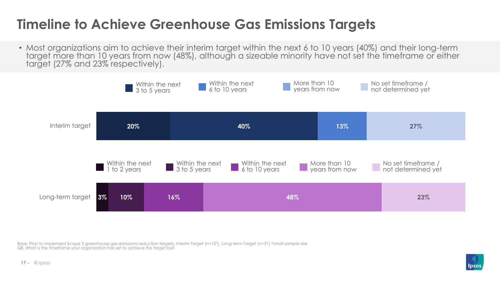### **Timeline to Achieve Greenhouse Gas Emissions Targets**

• Most organizations aim to achieve their interim target within the next 6 to 10 years (40%) and their long-term target more than 10 years from now (48%), although a sizeable minority have not set the timeframe or either target (27% and 23% respectively).

![](_page_16_Figure_2.jpeg)

Base: Plan to implement Scope 2 greenhouse gas emissions reduction targets; Interim Target (n=15\*), Long-term Target (n=31) \*small sample size Q8. What is the timeframe your organization has set to achieve this target by?

![](_page_16_Picture_4.jpeg)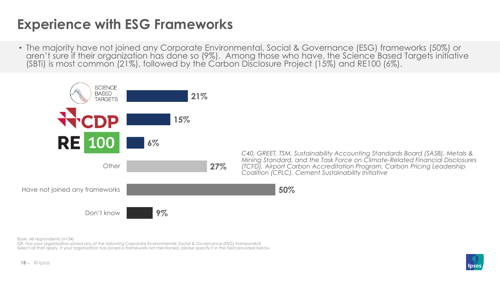### **Experience with ESG Frameworks**

• The majority have not joined any Corporate Environmental, Social & Governance (ESG) frameworks (50%) or aren't sure if their organization has done so (9%). Among those who have, the Science Based Targets initiative (SBTi) is most common (21%), followed by the Carbon Disclosure Project (15%) and RE100 (6%).

![](_page_17_Figure_2.jpeg)

*C40, GREET, TSM, Sustainability Accounting Standards Board (SASB), Metals & Mining Standard, and the Task Force on Climate-Related Financial Disclosures (TCFD), Airport Carbon Accreditation Program, Carbon Pricing Leadership Coalition (CPLC), Cement Sustainability Initiative*

Base: All respondents (n=34)

Q9. Has your organization joined any of the following Corporate Environmental, Social & Governance (ESG) frameworks? Select all that apply. If your organization has joined a framework not mentioned, please specify it in the field provided below.

![](_page_17_Picture_6.jpeg)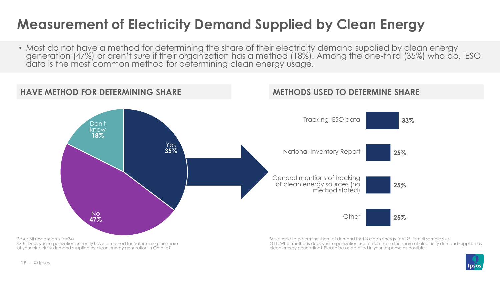### **Measurement of Electricity Demand Supplied by Clean Energy**

• Most do not have a method for determining the share of their electricity demand supplied by clean energy generation (47%) or aren't sure if their organization has a method (18%). Among the one-third (35%) who do, IESO data is the most common method for determining clean energy usage.

![](_page_18_Figure_2.jpeg)

Q10. Does your organization currently have a method for determining the share of your electricity demand supplied by clean energy generation in Ontario?

Q11. What methods does your organization use to determine the share of electricity demand supplied by clean energy generation? Please be as detailed in your response as possible.

![](_page_18_Picture_5.jpeg)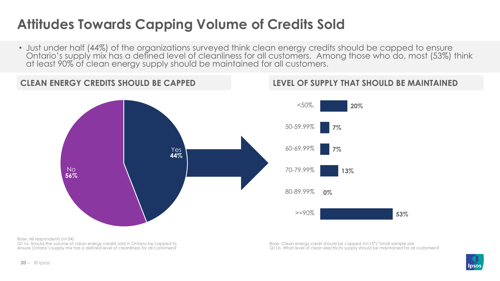# **Attitudes Towards Capping Volume of Credits Sold**

• Just under half (44%) of the organizations surveyed think clean energy credits should be capped to ensure Ontario's supply mix has a defined level of cleanliness for all customers. Among those who do, most (53%) think at least 90% of clean energy supply should be maintained for all customers.

![](_page_19_Figure_2.jpeg)

**LEVEL OF SUPPLY THAT SHOULD BE MAINTAINED**

Base: All respondents (n=34) Q11a. Should the volume of clean energy credits sold in Ontario be capped to ensure Ontario's supply mix has a defined level of cleanliness for all customers?

Base: Clean energy credit should be capped (n=15\*) \*small sample size Q11b. What level of clean electricity supply should be maintained for all customers?

![](_page_19_Picture_6.jpeg)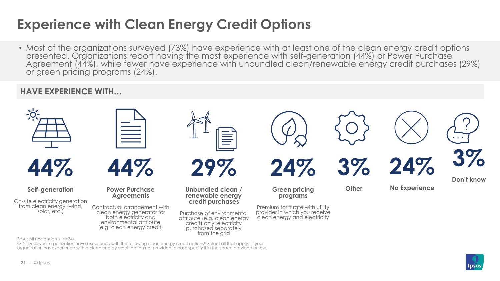## **Experience with Clean Energy Credit Options**

• Most of the organizations surveyed (73%) have experience with at least one of the clean energy credit options presented. Organizations report having the most experience with self-generation (44%) or Power Purchase Agreement (44%), while fewer have experience with unbundled clean/renewable energy credit purchases (29%) or green pricing programs (24%).

### **HAVE EXPERIENCE WITH…**

![](_page_20_Figure_3.jpeg)

Q12. Does your organization have experience with the following clean energy credit options? Select all that apply. If your organization has experience with a clean energy credit option not provided, please specify it in the space provided below.

![](_page_20_Picture_5.jpeg)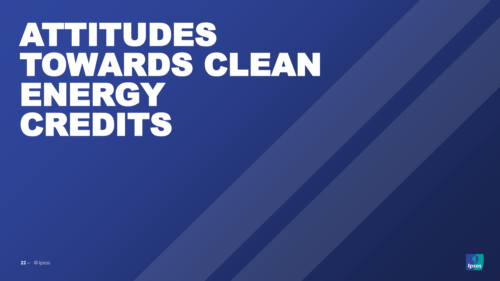# ATTITUDES TOWARDS CLEAN ENERGY CREDITS

![](_page_21_Picture_1.jpeg)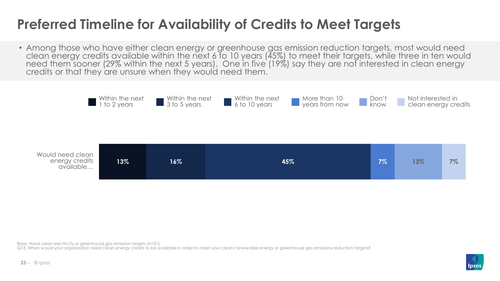### **Preferred Timeline for Availability of Credits to Meet Targets**

• Among those who have either clean energy or greenhouse gas emission reduction targets, most would need clean energy credits available within the next 6 to 10 years (45%) to meet their targets, while three in ten would need them sooner (29% within the next 5 years). One in five (19%) say they are not interested in clean energy credits or that they are unsure when they would need them.

![](_page_22_Figure_2.jpeg)

Base: Have clean electricity or greenhouse gas emission targets (n=31)

Q13. When would your organization need clean energy credits to be available in order to meet your clean/ renewable energy or greenhouse gas emissions reduction targets?

![](_page_22_Picture_5.jpeg)

![](_page_22_Picture_6.jpeg)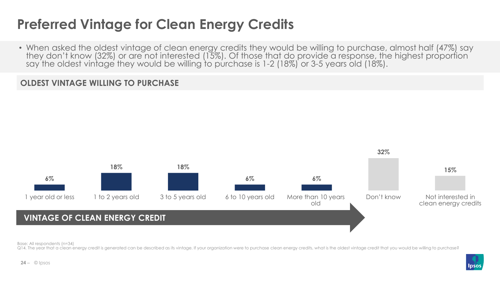### **Preferred Vintage for Clean Energy Credits**

• When asked the oldest vintage of clean energy credits they would be willing to purchase, almost half (47%) say they don't know (32%) or are not interested (15%). Of those that do provide a response, the highest proportion say the oldest vintage they would be willing to purchase is 1-2 (18%) or 3-5 years old (18%).

### **OLDEST VINTAGE WILLING TO PURCHASE**

![](_page_23_Figure_3.jpeg)

Base: All respondents (n=34)

Q14. The year that a clean energy credit is generated can be described as its vintage. If your organization were to purchase clean energy credits, what is the oldest vintage credit that you would be willing to purchase?

![](_page_23_Picture_6.jpeg)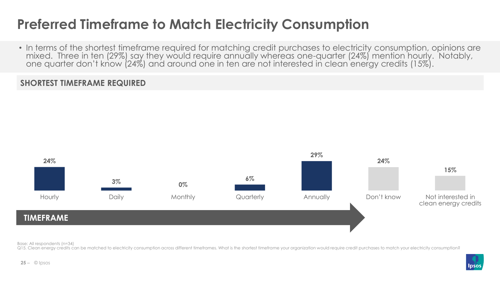### **Preferred Timeframe to Match Electricity Consumption**

• In terms of the shortest timeframe required for matching credit purchases to electricity consumption, opinions are mixed. Three in ten (29%) say they would require annually whereas one-quarter (24%) mention hourly. Notably, one quarter don't know (24%) and around one in ten are not interested in clean energy credits (15%).

### **SHORTEST TIMEFRAME REQUIRED**

![](_page_24_Figure_3.jpeg)

Base: All respondents (n=34)

Q15. Clean energy credits can be matched to electricity consumption across different timeframes. What is the shortest timeframe your organization would require credit purchases to match your electricity consumption?

![](_page_24_Picture_6.jpeg)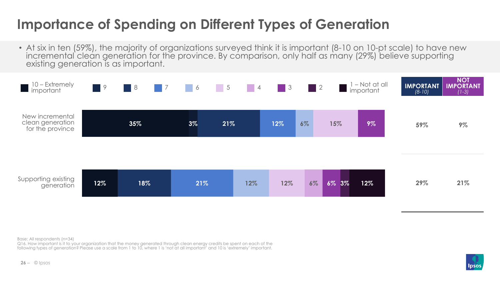## **Importance of Spending on Different Types of Generation**

• At six in ten (59%), the majority of organizations surveyed think it is important (8-10 on 10-pt scale) to have new incremental clean generation for the province. By comparison, only half as many (29%) believe supporting existing generation is as important.

![](_page_25_Figure_2.jpeg)

Base: All respondents (n=34)

Q16. How important is it to your organization that the money generated through clean energy credits be spent on each of the following types of generation? Please use a scale from 1 to 10, where 1 is 'not at all important' and 10 is 'extremely' important.

![](_page_25_Picture_5.jpeg)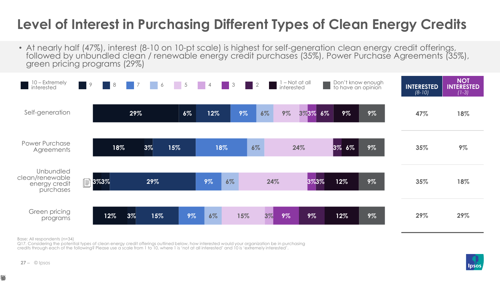### **Level of Interest in Purchasing Different Types of Clean Energy Credits**

• At nearly half (47%), interest (8-10 on 10-pt scale) is highest for self-generation clean energy credit offerings, followed by unbundled clean / renewable energy credit purchases (35%), Power Purchase Agreements (35%), green pricing programs (29%)

![](_page_26_Figure_2.jpeg)

Base: All respondents (n=34)

Q17. Considering the potential types of clean energy credit offerings outlined below, how interested would your organization be in purchasing credits through each of the following? Please use a scale from 1 to 10, where 1 is 'not at all interested' and 10 is 'extremely interested'.

![](_page_26_Picture_5.jpeg)

₩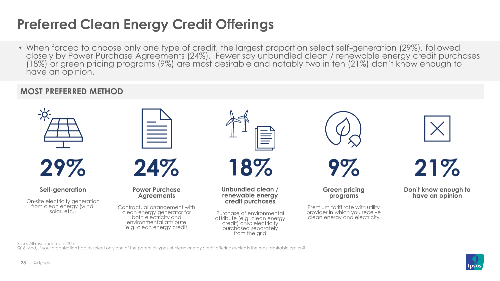## **Preferred Clean Energy Credit Offerings**

• When forced to choose only one type of credit, the largest proportion select self-generation (29%), followed closely by Power Purchase Agreements (24%). Fewer say unbundled clean / renewable energy credit purchases (18%) or green pricing programs (9%) are most desirable and notably two in ten (21%) don't know enough to have an opinion.

### **MOST PREFERRED METHOD**

![](_page_27_Figure_3.jpeg)

Base: All respondents (n=34)

Q18. And, if your organization had to select only one of the potential types of clean energy credit offerings which is the most desirable option?

![](_page_27_Picture_6.jpeg)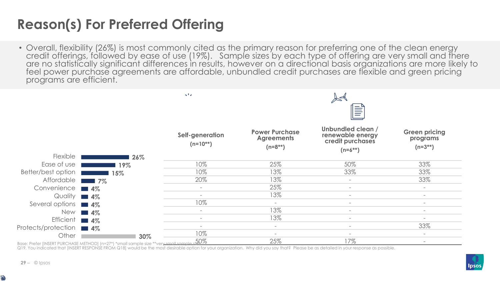# **Reason(s) For Preferred Offering**

• Overall, flexibility (26%) is most commonly cited as the primary reason for preferring one of the clean energy credit offerings, followed by ease of use (19%). Sample sizes by each type of offering are very small and there are no statistically significant differences in results, however on a directional basis organizations are more likely to feel power purchase agreements are affordable, unbundled credit purchases are flexible and green pricing programs are efficient.

|                     |                                                                                                                                     | $\propto$ F $_{\rm Z}$           | y<br>$\equiv$                                              |                                                                           |                                                  |
|---------------------|-------------------------------------------------------------------------------------------------------------------------------------|----------------------------------|------------------------------------------------------------|---------------------------------------------------------------------------|--------------------------------------------------|
| Flexible            | 26%                                                                                                                                 | Self-generation<br>$(n=10^{**})$ | <b>Power Purchase</b><br><b>Agreements</b><br>$(n=8^{**})$ | Unbundled clean /<br>renewable energy<br>credit purchases<br>$(n=6^{**})$ | <b>Green pricing</b><br>programs<br>$(n=3^{**})$ |
| Ease of use         | 19%                                                                                                                                 | 10%                              | 25%                                                        | 50%                                                                       | 33%                                              |
| Better/best option  | 15%                                                                                                                                 | 10%                              | 13%                                                        | 33%                                                                       | 33%                                              |
| Affordable          | $\blacksquare$ 7%<br>and the state of the state of the state of the state of the state of the state of the state of the state of th | 20%                              | 13%                                                        | $\overline{\phantom{a}}$                                                  | 33%                                              |
| Convenience 14%     |                                                                                                                                     |                                  | 25%                                                        | $\overline{\phantom{0}}$                                                  | $\overline{\phantom{a}}$                         |
| Quality             | <b>14%</b>                                                                                                                          | $\overline{\phantom{0}}$         | 13%                                                        | $\overline{\phantom{a}}$                                                  | $\sim$                                           |
| Several options     | $\blacksquare$ 4%                                                                                                                   | 10%                              | $\sim$                                                     | $\overline{\phantom{a}}$                                                  | $\sim$                                           |
| <b>New</b>          | $\blacksquare$ 4%                                                                                                                   | $\sim$                           | 13%                                                        | $\overline{\phantom{a}}$                                                  | $\sim$                                           |
| <b>Efficient</b>    | $\blacksquare$ 4%                                                                                                                   | $\equiv$                         | 13%                                                        | $\overline{\phantom{0}}$                                                  | $\overline{\phantom{a}}$                         |
| Protects/protection | $\blacksquare$ 4%                                                                                                                   | $\overline{\phantom{0}}$         | $\sim$                                                     | $\overline{\phantom{a}}$                                                  | 33%                                              |
| Other               | 30%                                                                                                                                 | 10%                              | $\overline{\phantom{a}}$                                   | $\overline{\phantom{a}}$                                                  | $\overline{\phantom{a}}$                         |
|                     | Base: Prefer [INSERT PURCHASE METHOD] (n=27*) *small sample size **very small sample size \$0%                                      |                                  | 25%                                                        | 17%                                                                       | $\overline{\phantom{a}}$                         |

Q19. You indicated that [INSERT RESPONSE FROM Q18] would be the most desirable option for your organization. Why did you say that? Please be as detailed in your response as possible.

![](_page_28_Picture_5.jpeg)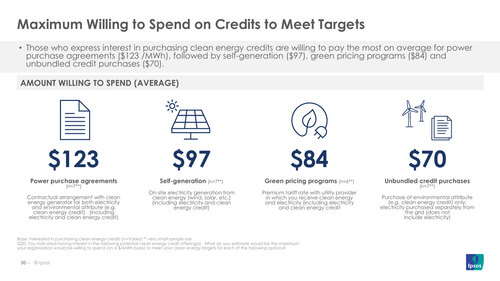## **Maximum Willing to Spend on Credits to Meet Targets**

• Those who express interest in purchasing clean energy credits are willing to pay the most on average for power purchase agreements (\$123 /MWh), followed by self-generation (\$97), green pricing programs (\$84) and unbundled credit purchases (\$70).

### **AMOUNT WILLING TO SPEND (AVERAGE)**

![](_page_29_Figure_3.jpeg)

![](_page_29_Picture_4.jpeg)

**Power purchase agreements**   $(n=7**)$ 

Contractual arrangement with clean energy generator for both electricity and environmental attribute (e.g. clean energy credit) (including electricity and clean energy credit)

![](_page_29_Picture_7.jpeg)

![](_page_29_Picture_8.jpeg)

**Self-generation** (n=7\*\*)

On-site electricity generation from clean energy (wind, solar, etc.) (including electricity and clean energy credit)

![](_page_29_Picture_11.jpeg)

![](_page_29_Picture_12.jpeg)

**Green pricing programs** (n=6\*\*)

Premium tariff rate with utility provider in which you receive clean energy and electricity (including electricity and clean energy credit

![](_page_29_Figure_15.jpeg)

**\$70**

**Unbundled credit purchases**   $(n=7**)$ 

Purchase of environmental attribute (e.g. clean energy credit) only; electricity purchased separately from the grid (does not include electricity)

Base: Interested in purchasing clean energy credits (n=Varies) \*\* very small sample size

Q20. You indicated having interest in the following potential clean energy credit offering(s). What do you estimate would be the maximum your organization would be willing to spend (on a \$/MWh basis) to meet your clean energy targets for each of the following options?

![](_page_29_Picture_21.jpeg)

![](_page_29_Picture_22.jpeg)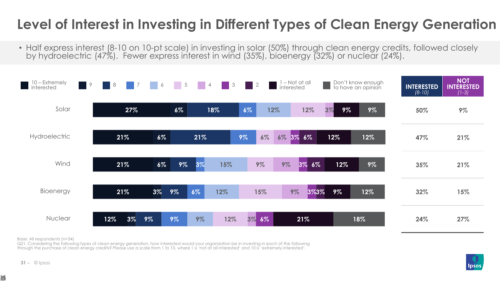## **Level of Interest in Investing in Different Types of Clean Energy Generation**

• Half express interest (8-10 on 10-pt scale) in investing in solar (50%) through clean energy credits, followed closely by hydroelectric (47%). Fewer express interest in wind (35%), bioenergy (32%) or nuclear (24%).

![](_page_30_Figure_2.jpeg)

Base: All respondents (n=34)

Q21. Considering the following types of clean energy generation, how interested would your organization be in investing in each of the following through the purchase of clean energy credits? Please use a scale from 1 to 10, where 1 is 'not at all interested' and 10 is 'extremely interested'.

![](_page_30_Picture_5.jpeg)

 $31 - \circ$  lpsos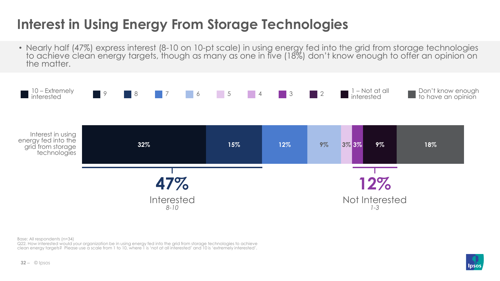# **Interest in Using Energy From Storage Technologies**

• Nearly half (47%) express interest (8-10 on 10-pt scale) in using energy fed into the grid from storage technologies to achieve clean energy targets, though as many as one in five (18%) don't know enough to offer an opinion on the matter

![](_page_31_Figure_2.jpeg)

Base: All respondents (n=34)

Q22. How interested would your organization be in using energy fed into the grid from storage technologies to achieve clean energy targets? Please use a scale from 1 to 10, where 1 is 'not at all interested' and 10 is 'extremely interested'.

![](_page_31_Picture_6.jpeg)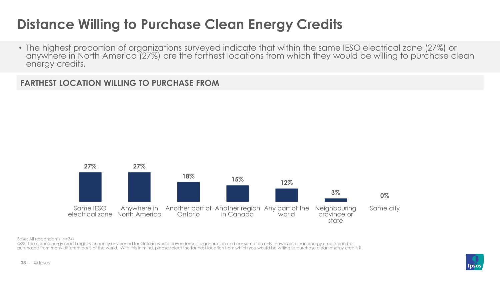### **Distance Willing to Purchase Clean Energy Credits**

• The highest proportion of organizations surveyed indicate that within the same IESO electrical zone (27%) or anywhere in North America (27%) are the farthest locations from which they would be willing to purchase clean energy credits.

**FARTHEST LOCATION WILLING TO PURCHASE FROM**

![](_page_32_Figure_3.jpeg)

Base: All respondents (n=34)

Q23. The clean energy credit registry currently envisioned for Ontario would cover domestic generation and consumption only; however, clean energy credits can be purchased from many different parts of the world. With this in mind, please select the farthest location from which you would be willing to purchase clean energy credits?

![](_page_32_Picture_6.jpeg)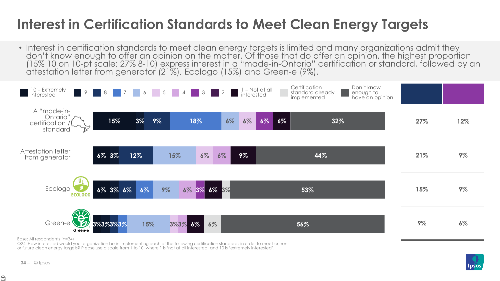### **Interest in Certification Standards to Meet Clean Energy Targets**

• Interest in certification standards to meet clean energy targets is limited and many organizations admit they don't know enough to offer an opinion on the matter. Of those that do offer an opinion, the highest proportion (15% 10 on 10-pt scale; 27% 8-10) express interest in a "made-in-Ontario" certification or standard, followed by an attestation letter from generator (21%), Ecologo (15%) and Green-e (9%).

![](_page_33_Figure_2.jpeg)

Base: All respondents (n=34)

Q24. How interested would your organization be in implementing each of the following certification standards in order to meet current or future clean energy targets? Please use a scale from 1 to 10, where 1 is 'not at all interested' and 10 is 'extremely interested'.

![](_page_33_Picture_6.jpeg)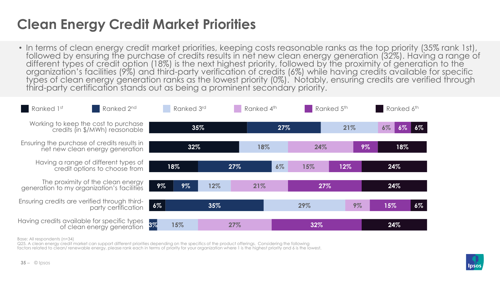### **Clean Energy Credit Market Priorities**

• In terms of clean energy credit market priorities, keeping costs reasonable ranks as the top priority (35% rank 1st), followed by ensuring the purchase of credits results in net new clean energy generation (32%). Having a range of different types of credit option (18%) is the next highest priority, followed by the proximity of generation to the organization's facilities (9%) and third-party verification of credits (6%) while having credits available for specific types of clean energy generation ranks as the lowest priority (0%). Notably, ensuring credits are verified through third-party certification stands out as being a prominent secondary priority.

![](_page_34_Figure_2.jpeg)

Base: All respondents (n=34)

Q25. A clean energy credit market can support different priorities depending on the specifics of the product offerings. Considering the following factors related to clean/ renewable energy, please rank each in terms of priority for your organization where 1 is the highest priority and 6 is the lowest.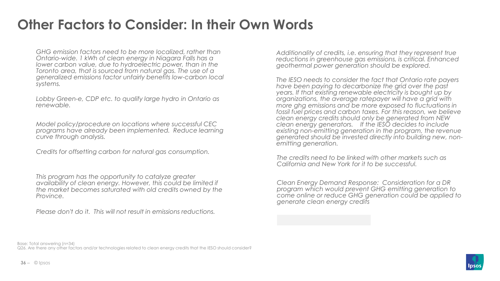### **Other Factors to Consider: In their Own Words**

*GHG emission factors need to be more localized, rather than Ontario-wide. 1 kWh of clean energy in Niagara Falls has a lower carbon value, due to hydroelectric power, than in the Toronto area, that is sourced from natural gas. The use of a generalized emissions factor unfairly benefits low-carbon local systems.*

*Lobby Green-e, CDP etc. to qualify large hydro in Ontario as renewable.*

*Model policy/procedure on locations where successful CEC programs have already been implemented. Reduce learning curve through analysis.*

*Credits for offsetting carbon for natural gas consumption.*

*This program has the opportunity to catalyze greater availability of clean energy. However, this could be limited if the market becomes saturated with old credits owned by the Province.*

*Please don't do it. This will not result in emissions reductions.*

*Additionality of credits, i.e. ensuring that they represent true reductions in greenhouse gas emissions, is critical. Enhanced geothermal power generation should be explored.*

*The IESO needs to consider the fact that Ontario rate payers have been paying to decarbonize the grid over the past years. If that existing renewable electricity is bought up by organizations, the average ratepayer will have a grid with more ghg emissions and be more exposed to fluctuations in fossil fuel prices and carbon taxes. For this reason, we believe clean energy credits should only be generated from NEW clean energy generators. If the IESO decides to include existing non-emitting generation in the program, the revenue generated should be invested directly into building new, nonemitting generation.*

*The credits need to be linked with other markets such as California and New York for it to be successful.*

*Clean Energy Demand Response: Consideration for a DR program which would prevent GHG emitting generation to come online or reduce GHG generation could be applied to generate clean energy credits*

Base: Total answering (n=34) Q26. Are there any other factors and/or technologies related to clean energy credits that the IESO should consider?

![](_page_35_Picture_12.jpeg)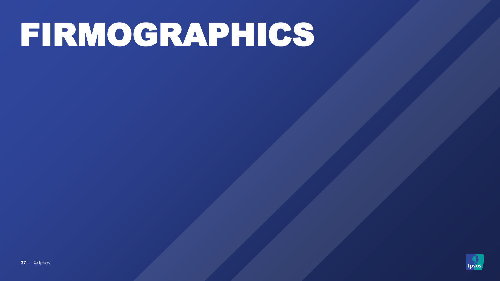# FIRMOGRAPHICS

![](_page_36_Picture_1.jpeg)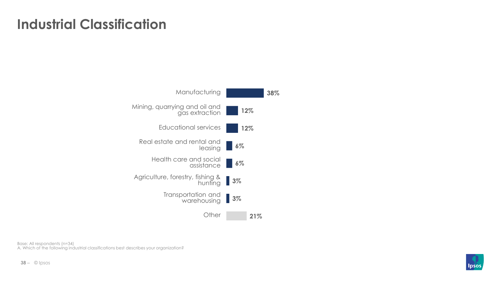### **Industrial Classification**

![](_page_37_Figure_1.jpeg)

Base: All respondents (n=34) A. Which of the following industrial classifications best describes your organization?

![](_page_37_Picture_4.jpeg)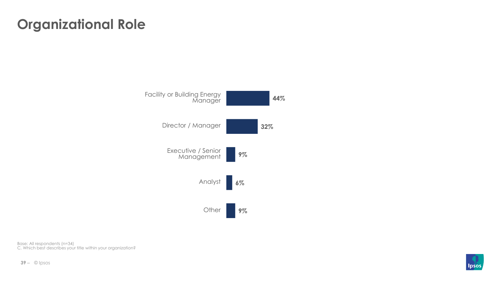### **Organizational Role**

![](_page_38_Figure_1.jpeg)

Base: All respondents (n=34) C. Which best describes your title within your organization?

![](_page_38_Picture_3.jpeg)